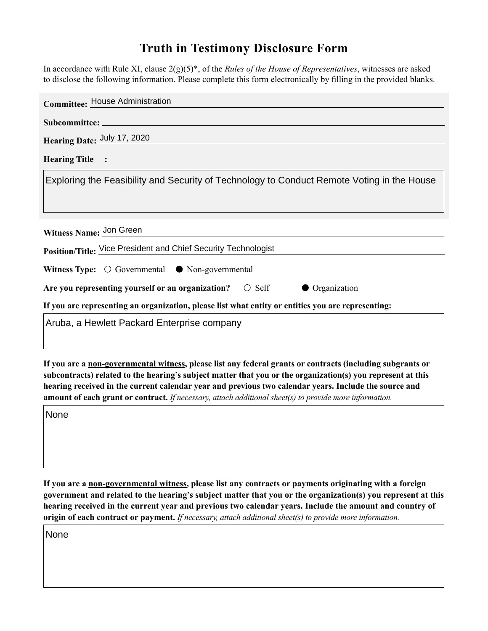## **Truth in Testimony Disclosure Form**

In accordance with Rule XI, clause 2(g)(5)\*, of the *Rules of the House of Representatives*, witnesses are asked to disclose the following information. Please complete this form electronically by filling in the provided blanks.

| <b>Committee: House Administration</b>                                                             |
|----------------------------------------------------------------------------------------------------|
|                                                                                                    |
| Hearing Date: July 17, 2020                                                                        |
| <b>Hearing Title :</b>                                                                             |
| Exploring the Feasibility and Security of Technology to Conduct Remote Voting in the House         |
|                                                                                                    |
| Witness Name: Jon Green                                                                            |
| Position/Title: Vice President and Chief Security Technologist                                     |
| Witness Type: $\bigcirc$ Governmental $\bullet$ Non-governmental                                   |
| Are you representing yourself or an organization? $\circ$ Self<br>• Organization                   |
| If you are representing an organization, please list what entity or entities you are representing: |
| Aruba, a Hewlett Packard Enterprise company                                                        |

**If you are a non-governmental witness, please list any federal grants or contracts (including subgrants or subcontracts) related to the hearing's subject matter that you or the organization(s) you represent at this hearing received in the current calendar year and previous two calendar years. Include the source and amount of each grant or contract.** *If necessary, attach additional sheet(s) to provide more information.*

None

**If you are a non-governmental witness, please list any contracts or payments originating with a foreign government and related to the hearing's subject matter that you or the organization(s) you represent at this hearing received in the current year and previous two calendar years. Include the amount and country of origin of each contract or payment.** *If necessary, attach additional sheet(s) to provide more information.*

None